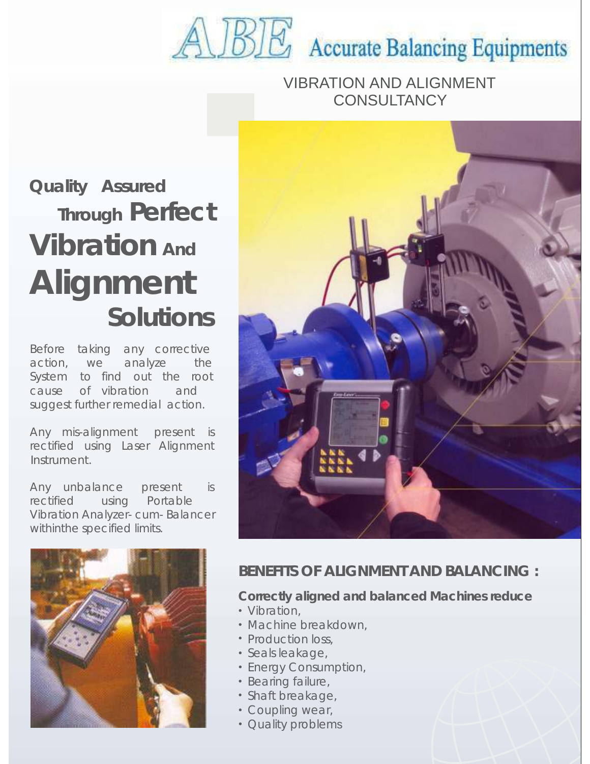# **ALBE** Accurate Balancing Equipments

VIBRATION AND ALIGNMENT **CONSULTANCY** 

## **Quality Assured Through Perfect Vibration And Alignment Solutions**

Before taking any corrective action, we analyze the System to find out the root cause of vibration and suggest further remedial action.

Any mis-alignment present is rectified using Laser Alignment Instrument.

Any unbalance present is rectified using Portable Vibration Analyzer- cum- Balancer withinthe specified limits.





#### **BENEFITS OF ALIGNMENT AND BALANCING :**

**Correctly aligned and balanced Machines reduce**

- Vibration,
- Machine breakdown,
- Production loss,
- · Seals leakage,
- Energy Consumption,
- Bearing failure,
- Shaft breakage,
- Coupling wear,
- Quality problems